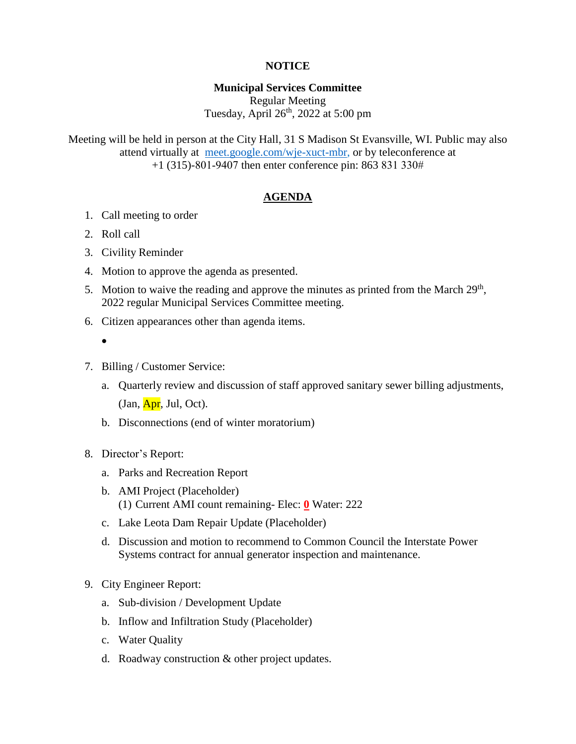## **NOTICE**

## **Municipal Services Committee**

Regular Meeting Tuesday, April  $26<sup>th</sup>$ , 2022 at 5:00 pm

Meeting will be held in person at the City Hall, 31 S Madison St Evansville, WI. Public may also attend virtually at [meet.google.com/wje-xuct-mbr,](file://///fs01/users/hurtleyl/My%20Drive/Meetings/MSC/2022/01-22/meet.google.com/wje-xuct-mbr) or by teleconference at +1 (315)-801-9407 then enter conference pin: 863 831 330#

## **AGENDA**

- 1. Call meeting to order
- 2. Roll call
- 3. Civility Reminder
- 4. Motion to approve the agenda as presented.
- 5. Motion to waive the reading and approve the minutes as printed from the March  $29<sup>th</sup>$ , 2022 regular Municipal Services Committee meeting.
- 6. Citizen appearances other than agenda items.
	- $\bullet$
- 7. Billing / Customer Service:
	- a. Quarterly review and discussion of staff approved sanitary sewer billing adjustments,  $(Jan, Apr, Jul, Oct).$
	- b. Disconnections (end of winter moratorium)
- 8. Director's Report:
	- a. Parks and Recreation Report
	- b. AMI Project (Placeholder) (1) Current AMI count remaining- Elec: **0** Water: 222
	- c. Lake Leota Dam Repair Update (Placeholder)
	- d. Discussion and motion to recommend to Common Council the Interstate Power Systems contract for annual generator inspection and maintenance.
- 9. City Engineer Report:
	- a. Sub-division / Development Update
	- b. Inflow and Infiltration Study (Placeholder)
	- c. Water Quality
	- d. Roadway construction & other project updates.